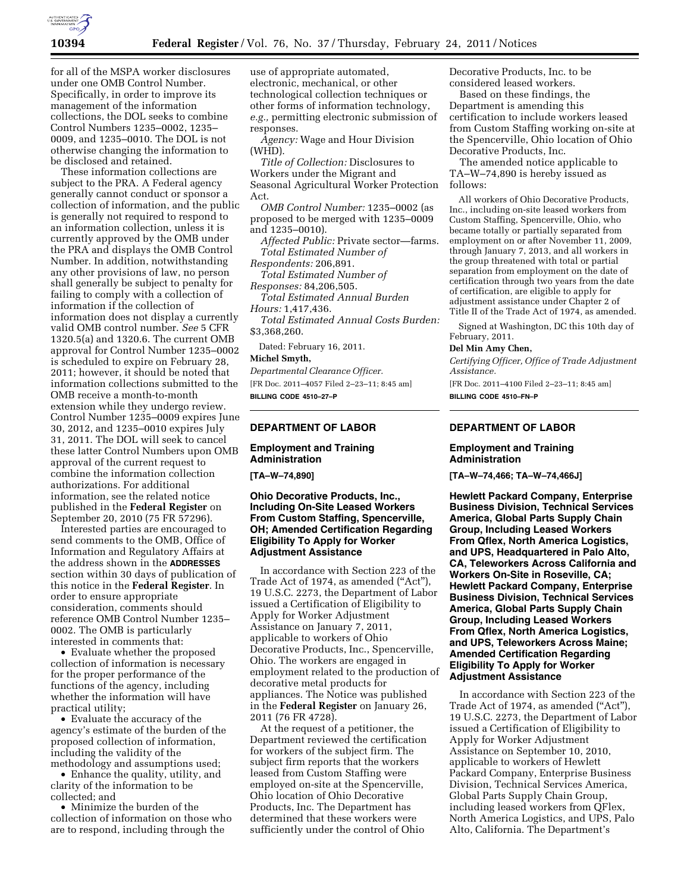

for all of the MSPA worker disclosures under one OMB Control Number. Specifically, in order to improve its management of the information collections, the DOL seeks to combine Control Numbers 1235–0002, 1235– 0009, and 1235–0010. The DOL is not otherwise changing the information to be disclosed and retained.

These information collections are subject to the PRA. A Federal agency generally cannot conduct or sponsor a collection of information, and the public is generally not required to respond to an information collection, unless it is currently approved by the OMB under the PRA and displays the OMB Control Number. In addition, notwithstanding any other provisions of law, no person shall generally be subject to penalty for failing to comply with a collection of information if the collection of information does not display a currently valid OMB control number. *See* 5 CFR 1320.5(a) and 1320.6. The current OMB approval for Control Number 1235–0002 is scheduled to expire on February 28, 2011; however, it should be noted that information collections submitted to the OMB receive a month-to-month extension while they undergo review. Control Number 1235–0009 expires June 30, 2012, and 1235–0010 expires July 31, 2011. The DOL will seek to cancel these latter Control Numbers upon OMB approval of the current request to combine the information collection authorizations. For additional information, see the related notice published in the **Federal Register** on September 20, 2010 (75 FR 57296).

Interested parties are encouraged to send comments to the OMB, Office of Information and Regulatory Affairs at the address shown in the **ADDRESSES** section within 30 days of publication of this notice in the **Federal Register**. In order to ensure appropriate consideration, comments should reference OMB Control Number 1235– 0002. The OMB is particularly interested in comments that:

• Evaluate whether the proposed collection of information is necessary for the proper performance of the functions of the agency, including whether the information will have practical utility;

• Evaluate the accuracy of the agency's estimate of the burden of the proposed collection of information, including the validity of the methodology and assumptions used;

• Enhance the quality, utility, and clarity of the information to be collected; and

• Minimize the burden of the collection of information on those who are to respond, including through the

use of appropriate automated, electronic, mechanical, or other technological collection techniques or other forms of information technology, *e.g.,* permitting electronic submission of responses.

*Agency:* Wage and Hour Division (WHD).

*Title of Collection:* Disclosures to Workers under the Migrant and Seasonal Agricultural Worker Protection Act.

*OMB Control Number:* 1235–0002 (as proposed to be merged with 1235–0009 and 1235–0010).

*Affected Public:* Private sector—farms. *Total Estimated Number of* 

*Respondents:* 206,891. *Total Estimated Number of* 

*Responses:* 84,206,505.

*Total Estimated Annual Burden Hours:* 1,417,436.

*Total Estimated Annual Costs Burden:*  \$3,368,260.

Dated: February 16, 2011.

**Michel Smyth,** 

*Departmental Clearance Officer.*  [FR Doc. 2011–4057 Filed 2–23–11; 8:45 am] **BILLING CODE 4510–27–P** 

#### **DEPARTMENT OF LABOR**

# **Employment and Training Administration**

**[TA–W–74,890]** 

## **Ohio Decorative Products, Inc., Including On-Site Leased Workers From Custom Staffing, Spencerville, OH; Amended Certification Regarding Eligibility To Apply for Worker Adjustment Assistance**

In accordance with Section 223 of the Trade Act of 1974, as amended ("Act"), 19 U.S.C. 2273, the Department of Labor issued a Certification of Eligibility to Apply for Worker Adjustment Assistance on January 7, 2011, applicable to workers of Ohio Decorative Products, Inc., Spencerville, Ohio. The workers are engaged in employment related to the production of decorative metal products for appliances. The Notice was published in the **Federal Register** on January 26, 2011 (76 FR 4728).

At the request of a petitioner, the Department reviewed the certification for workers of the subject firm. The subject firm reports that the workers leased from Custom Staffing were employed on-site at the Spencerville, Ohio location of Ohio Decorative Products, Inc. The Department has determined that these workers were sufficiently under the control of Ohio

Decorative Products, Inc. to be considered leased workers.

Based on these findings, the Department is amending this certification to include workers leased from Custom Staffing working on-site at the Spencerville, Ohio location of Ohio Decorative Products, Inc.

The amended notice applicable to TA–W–74,890 is hereby issued as follows:

All workers of Ohio Decorative Products, Inc., including on-site leased workers from Custom Staffing, Spencerville, Ohio, who became totally or partially separated from employment on or after November 11, 2009, through January 7, 2013, and all workers in the group threatened with total or partial separation from employment on the date of certification through two years from the date of certification, are eligible to apply for adjustment assistance under Chapter 2 of Title II of the Trade Act of 1974, as amended.

Signed at Washington, DC this 10th day of February, 2011.

#### **Del Min Amy Chen,**

*Certifying Officer, Office of Trade Adjustment Assistance.* 

[FR Doc. 2011–4100 Filed 2–23–11; 8:45 am] **BILLING CODE 4510–FN–P** 

### **DEPARTMENT OF LABOR**

### **Employment and Training Administration**

**[TA–W–74,466; TA–W–74,466J]** 

**Hewlett Packard Company, Enterprise Business Division, Technical Services America, Global Parts Supply Chain Group, Including Leased Workers From Qflex, North America Logistics, and UPS, Headquartered in Palo Alto, CA, Teleworkers Across California and Workers On-Site in Roseville, CA; Hewlett Packard Company, Enterprise Business Division, Technical Services America, Global Parts Supply Chain Group, Including Leased Workers From Qflex, North America Logistics, and UPS, Teleworkers Across Maine; Amended Certification Regarding Eligibility To Apply for Worker Adjustment Assistance** 

In accordance with Section 223 of the Trade Act of 1974, as amended ("Act"), 19 U.S.C. 2273, the Department of Labor issued a Certification of Eligibility to Apply for Worker Adjustment Assistance on September 10, 2010, applicable to workers of Hewlett Packard Company, Enterprise Business Division, Technical Services America, Global Parts Supply Chain Group, including leased workers from QFlex, North America Logistics, and UPS, Palo Alto, California. The Department's